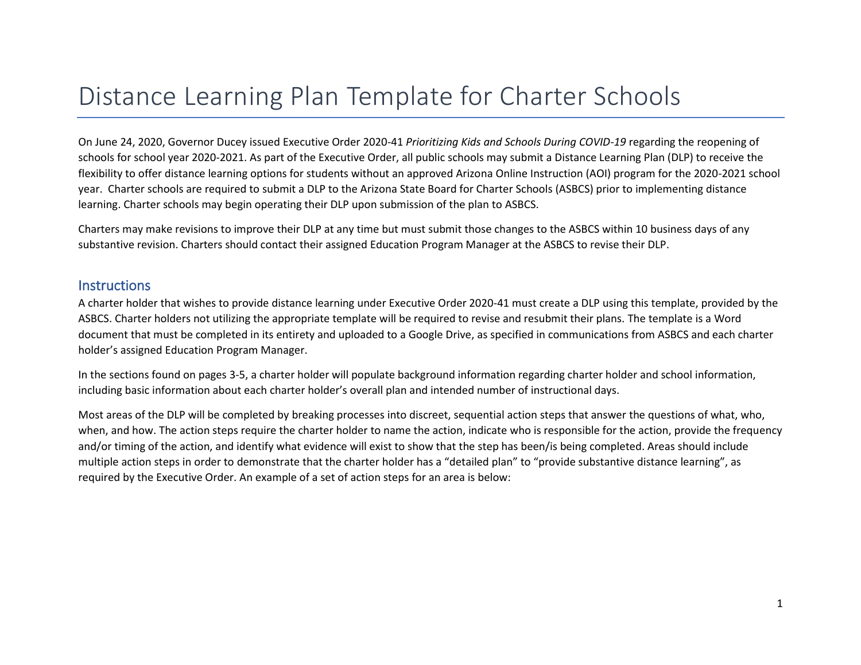# Distance Learning Plan Template for Charter Schools

On June 24, 2020, Governor Ducey issued Executive Order 2020-41 *Prioritizing Kids and Schools During COVID-19* regarding the reopening of schools for school year 2020-2021. As part of the Executive Order, all public schools may submit a Distance Learning Plan (DLP) to receive the flexibility to offer distance learning options for students without an approved Arizona Online Instruction (AOI) program for the 2020-2021 school year. Charter schools are required to submit a DLP to the Arizona State Board for Charter Schools (ASBCS) prior to implementing distance learning. Charter schools may begin operating their DLP upon submission of the plan to ASBCS.

Charters may make revisions to improve their DLP at any time but must submit those changes to the ASBCS within 10 business days of any substantive revision. Charters should contact their assigned Education Program Manager at the ASBCS to revise their DLP.

#### **Instructions**

A charter holder that wishes to provide distance learning under Executive Order 2020-41 must create a DLP using this template, provided by the ASBCS. Charter holders not utilizing the appropriate template will be required to revise and resubmit their plans. The template is a Word document that must be completed in its entirety and uploaded to a Google Drive, as specified in communications from ASBCS and each charter holder's assigned Education Program Manager.

In the sections found on pages 3-5, a charter holder will populate background information regarding charter holder and school information, including basic information about each charter holder's overall plan and intended number of instructional days.

Most areas of the DLP will be completed by breaking processes into discreet, sequential action steps that answer the questions of what, who, when, and how. The action steps require the charter holder to name the action, indicate who is responsible for the action, provide the frequency and/or timing of the action, and identify what evidence will exist to show that the step has been/is being completed. Areas should include multiple action steps in order to demonstrate that the charter holder has a "detailed plan" to "provide substantive distance learning", as required by the Executive Order. An example of a set of action steps for an area is below: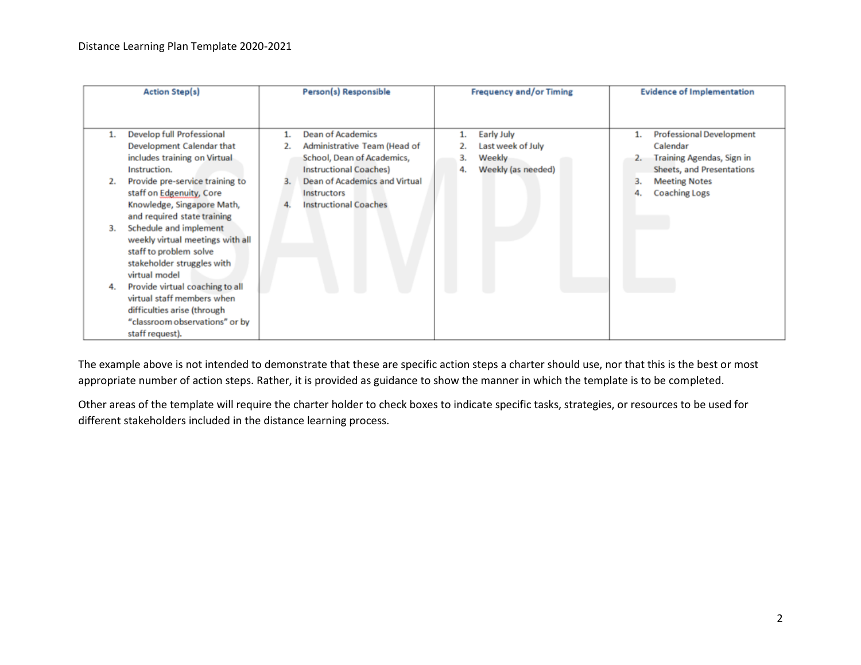|    | <b>Action Step(s)</b>            | Person(s) Responsible         |    | <b>Frequency and/or Timing</b> | <b>Evidence of Implementation</b> |
|----|----------------------------------|-------------------------------|----|--------------------------------|-----------------------------------|
|    |                                  |                               |    |                                |                                   |
|    | Develop full Professional        | <b>Dean of Academics</b>      |    | Early July                     | <b>Professional Development</b>   |
|    | Development Calendar that        | Administrative Team (Head of  |    | Last week of July              | Calendar                          |
|    | includes training on Virtual     | School, Dean of Academics,    | 3. | Weekly                         | Training Agendas, Sign in         |
|    | Instruction.                     | <b>Instructional Coaches)</b> | 4. | Weekly (as needed)             | <b>Sheets, and Presentations</b>  |
|    | Provide pre-service training to  | Dean of Academics and Virtual |    |                                | <b>Meeting Notes</b>              |
|    | staff on Edgenuity, Core         | <b>Instructors</b>            |    |                                | <b>Coaching Logs</b>              |
|    | Knowledge, Singapore Math,       | <b>Instructional Coaches</b>  |    |                                |                                   |
|    | and required state training      |                               |    |                                |                                   |
| 3. | Schedule and implement           |                               |    |                                |                                   |
|    | weekly virtual meetings with all |                               |    |                                |                                   |
|    | staff to problem solve           |                               |    |                                |                                   |
|    | stakeholder struggles with       |                               |    |                                |                                   |
|    | virtual model                    |                               |    |                                |                                   |
|    | Provide virtual coaching to all  |                               |    |                                |                                   |
|    | virtual staff members when       |                               |    |                                |                                   |
|    | difficulties arise (through      |                               |    |                                |                                   |
|    | "classroom observations" or by   |                               |    |                                |                                   |
|    | staff request).                  |                               |    |                                |                                   |

The example above is not intended to demonstrate that these are specific action steps a charter should use, nor that this is the best or most appropriate number of action steps. Rather, it is provided as guidance to show the manner in which the template is to be completed.

Other areas of the template will require the charter holder to check boxes to indicate specific tasks, strategies, or resources to be used for different stakeholders included in the distance learning process.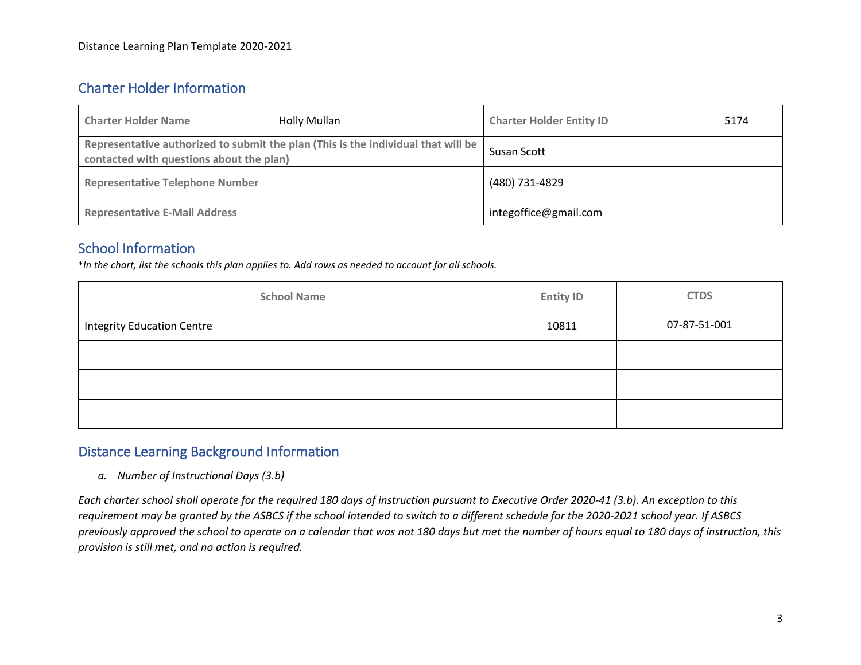# Charter Holder Information

| <b>Charter Holder Name</b>               | <b>Holly Mullan</b>                                                               | <b>Charter Holder Entity ID</b> | 5174 |  |
|------------------------------------------|-----------------------------------------------------------------------------------|---------------------------------|------|--|
| contacted with questions about the plan) | Representative authorized to submit the plan (This is the individual that will be | Susan Scott                     |      |  |
| <b>Representative Telephone Number</b>   |                                                                                   | (480) 731-4829                  |      |  |
| <b>Representative E-Mail Address</b>     |                                                                                   | integoffice@gmail.com           |      |  |

# School Information

\**In the chart, list the schools this plan applies to. Add rows as needed to account for all schools.*

| <b>School Name</b>                | <b>Entity ID</b> | <b>CTDS</b>  |
|-----------------------------------|------------------|--------------|
| <b>Integrity Education Centre</b> | 10811            | 07-87-51-001 |
|                                   |                  |              |
|                                   |                  |              |
|                                   |                  |              |

# Distance Learning Background Information

*a. Number of Instructional Days (3.b)*

*Each charter school shall operate for the required 180 days of instruction pursuant to Executive Order 2020-41 (3.b). An exception to this requirement may be granted by the ASBCS if the school intended to switch to a different schedule for the 2020-2021 school year. If ASBCS previously approved the school to operate on a calendar that was not 180 days but met the number of hours equal to 180 days of instruction, this provision is still met, and no action is required.*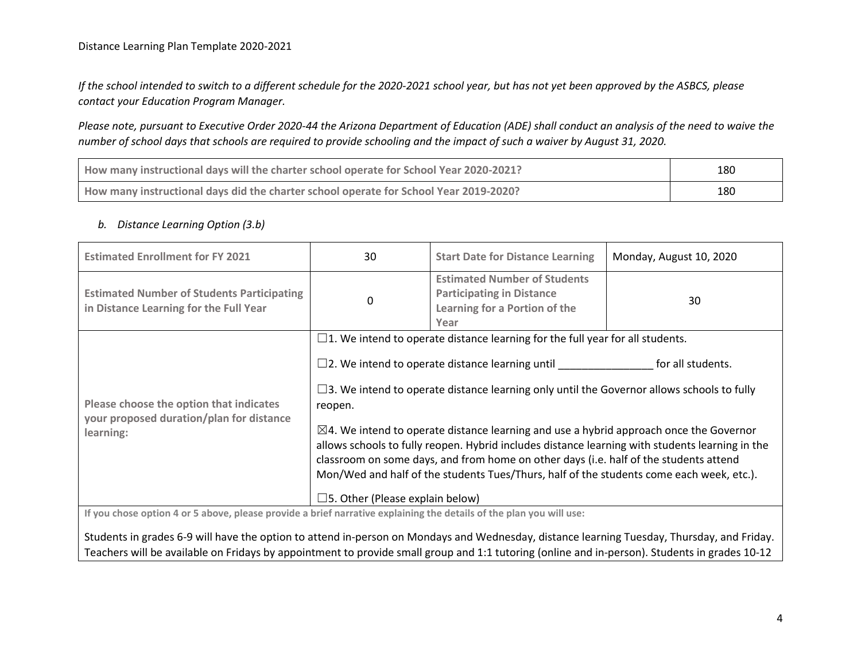#### Distance Learning Plan Template 2020-2021

*If the school intended to switch to a different schedule for the 2020-2021 school year, but has not yet been approved by the ASBCS, please contact your Education Program Manager.* 

*Please note, pursuant to Executive Order 2020-44 the Arizona Department of Education (ADE) shall conduct an analysis of the need to waive the number of school days that schools are required to provide schooling and the impact of such a waiver by August 31, 2020.*

| How many instructional days will the charter school operate for School Year 2020-2021? | 180 |
|----------------------------------------------------------------------------------------|-----|
| How many instructional days did the charter school operate for School Year 2019-2020?  | 180 |

#### *b. Distance Learning Option (3.b)*

| <b>Estimated Enrollment for FY 2021</b>                                                                                                       | 30                                                                                                                                                                                                                                                                                                                                                                                        | <b>Start Date for Distance Learning</b>                                                                          | Monday, August 10, 2020 |  |  |  |  |
|-----------------------------------------------------------------------------------------------------------------------------------------------|-------------------------------------------------------------------------------------------------------------------------------------------------------------------------------------------------------------------------------------------------------------------------------------------------------------------------------------------------------------------------------------------|------------------------------------------------------------------------------------------------------------------|-------------------------|--|--|--|--|
| <b>Estimated Number of Students Participating</b><br>in Distance Learning for the Full Year                                                   | 0                                                                                                                                                                                                                                                                                                                                                                                         | <b>Estimated Number of Students</b><br><b>Participating in Distance</b><br>Learning for a Portion of the<br>Year | 30                      |  |  |  |  |
|                                                                                                                                               |                                                                                                                                                                                                                                                                                                                                                                                           | $\square$ 1. We intend to operate distance learning for the full year for all students.                          |                         |  |  |  |  |
|                                                                                                                                               |                                                                                                                                                                                                                                                                                                                                                                                           | $\square$ 2. We intend to operate distance learning until $\square$                                              | for all students.       |  |  |  |  |
| Please choose the option that indicates                                                                                                       | $\square$ 3. We intend to operate distance learning only until the Governor allows schools to fully<br>reopen.                                                                                                                                                                                                                                                                            |                                                                                                                  |                         |  |  |  |  |
| your proposed duration/plan for distance<br>learning:                                                                                         | $\boxtimes$ 4. We intend to operate distance learning and use a hybrid approach once the Governor<br>allows schools to fully reopen. Hybrid includes distance learning with students learning in the<br>classroom on some days, and from home on other days (i.e. half of the students attend<br>Mon/Wed and half of the students Tues/Thurs, half of the students come each week, etc.). |                                                                                                                  |                         |  |  |  |  |
|                                                                                                                                               | $\square$ 5. Other (Please explain below)                                                                                                                                                                                                                                                                                                                                                 |                                                                                                                  |                         |  |  |  |  |
| If you chose option 4 or 5 above, please provide a brief narrative explaining the details of the plan you will use:                           |                                                                                                                                                                                                                                                                                                                                                                                           |                                                                                                                  |                         |  |  |  |  |
| Students in grades 6-9 will have the option to attend in-person on Mondays and Wednesday, distance learning Tuesday, Thursday, and Friday.    |                                                                                                                                                                                                                                                                                                                                                                                           |                                                                                                                  |                         |  |  |  |  |
| Teachers will be available on Fridays by appointment to provide small group and 1:1 tutoring (online and in-person). Students in grades 10-12 |                                                                                                                                                                                                                                                                                                                                                                                           |                                                                                                                  |                         |  |  |  |  |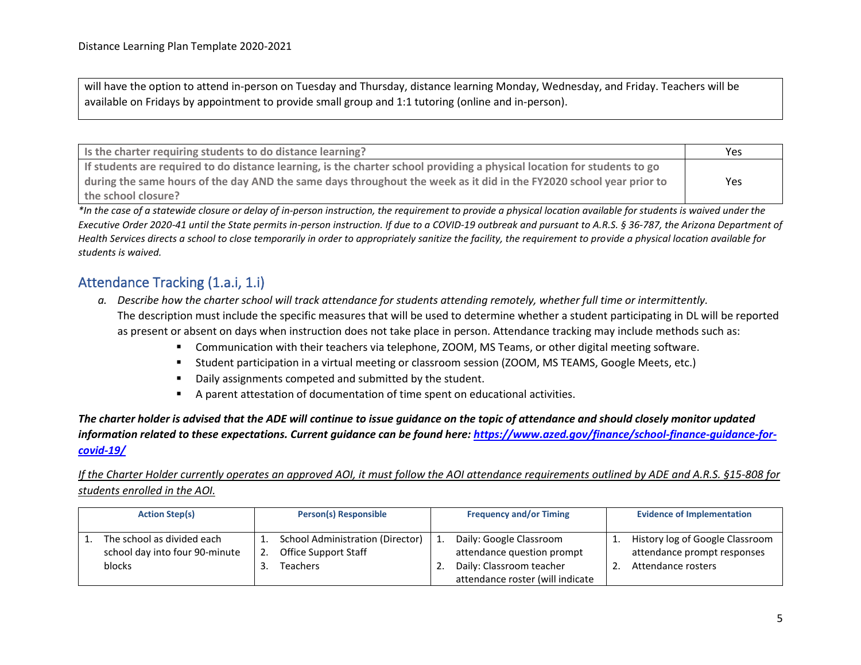will have the option to attend in-person on Tuesday and Thursday, distance learning Monday, Wednesday, and Friday. Teachers will be available on Fridays by appointment to provide small group and 1:1 tutoring (online and in-person).

| I is the charter requiring students to do distance learning?                                                             | Yes |
|--------------------------------------------------------------------------------------------------------------------------|-----|
| If students are required to do distance learning, is the charter school providing a physical location for students to go |     |
| during the same hours of the day AND the same days throughout the week as it did in the FY2020 school year prior to      | Yes |
| the school closure?                                                                                                      |     |

*\*In the case of a statewide closure or delay of in-person instruction, the requirement to provide a physical location available for students is waived under the Executive Order 2020-41 until the State permits in-person instruction. If due to a COVID-19 outbreak and pursuant to A.R.S. § 36-787, the Arizona Department of Health Services directs a school to close temporarily in order to appropriately sanitize the facility, the requirement to provide a physical location available for students is waived.* 

# Attendance Tracking (1.a.i, 1.i)

- *a. Describe how the charter school will track attendance for students attending remotely, whether full time or intermittently.* The description must include the specific measures that will be used to determine whether a student participating in DL will be reported as present or absent on days when instruction does not take place in person. Attendance tracking may include methods such as:
	- Communication with their teachers via telephone, ZOOM, MS Teams, or other digital meeting software.
	- Student participation in a virtual meeting or classroom session (ZOOM, MS TEAMS, Google Meets, etc.)
	- Daily assignments competed and submitted by the student.
	- A parent attestation of documentation of time spent on educational activities.

*The charter holder is advised that the ADE will continue to issue guidance on the topic of attendance and should closely monitor updated information related to these expectations. Current guidance can be found here[: https://www.azed.gov/finance/school-finance-guidance-for](https://www.azed.gov/finance/school-finance-guidance-for-covid-19/)[covid-19/](https://www.azed.gov/finance/school-finance-guidance-for-covid-19/)*

*If the Charter Holder currently operates an approved AOI, it must follow the AOI attendance requirements outlined by ADE and A.R.S. §15-808 for students enrolled in the AOI.*

| <b>Action Step(s)</b>                                                  | <b>Person(s) Responsible</b>                                         |            | <b>Frequency and/or Timing</b>                                                                                        | <b>Evidence of Implementation</b>                                                    |
|------------------------------------------------------------------------|----------------------------------------------------------------------|------------|-----------------------------------------------------------------------------------------------------------------------|--------------------------------------------------------------------------------------|
| The school as divided each<br>school day into four 90-minute<br>blocks | School Administration (Director)<br>Office Support Staff<br>Teachers | <u>.</u> . | Daily: Google Classroom<br>attendance question prompt<br>Daily: Classroom teacher<br>attendance roster (will indicate | History log of Google Classroom<br>attendance prompt responses<br>Attendance rosters |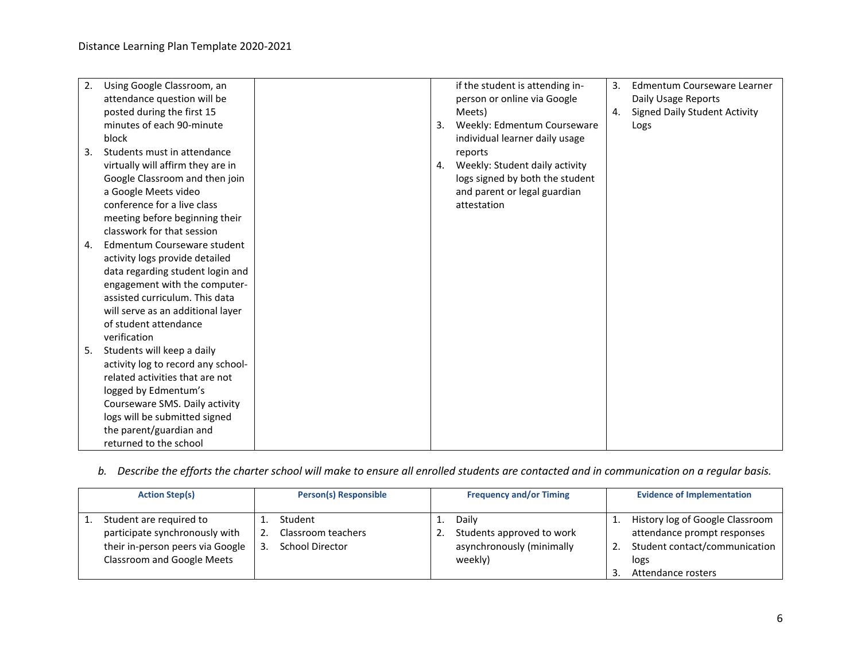| 2. | Using Google Classroom, an         |    | if the student is attending in- | 3. | Edmentum Courseware Learner          |
|----|------------------------------------|----|---------------------------------|----|--------------------------------------|
|    |                                    |    |                                 |    |                                      |
|    | attendance question will be        |    | person or online via Google     |    | Daily Usage Reports                  |
|    | posted during the first 15         |    | Meets)                          | 4. | <b>Signed Daily Student Activity</b> |
|    | minutes of each 90-minute          | 3. | Weekly: Edmentum Courseware     |    | Logs                                 |
|    | block                              |    | individual learner daily usage  |    |                                      |
| 3. | Students must in attendance        |    | reports                         |    |                                      |
|    | virtually will affirm they are in  | 4. | Weekly: Student daily activity  |    |                                      |
|    | Google Classroom and then join     |    | logs signed by both the student |    |                                      |
|    | a Google Meets video               |    | and parent or legal guardian    |    |                                      |
|    | conference for a live class        |    | attestation                     |    |                                      |
|    | meeting before beginning their     |    |                                 |    |                                      |
|    | classwork for that session         |    |                                 |    |                                      |
| 4. | Edmentum Courseware student        |    |                                 |    |                                      |
|    | activity logs provide detailed     |    |                                 |    |                                      |
|    | data regarding student login and   |    |                                 |    |                                      |
|    | engagement with the computer-      |    |                                 |    |                                      |
|    | assisted curriculum. This data     |    |                                 |    |                                      |
|    | will serve as an additional layer  |    |                                 |    |                                      |
|    | of student attendance              |    |                                 |    |                                      |
|    | verification                       |    |                                 |    |                                      |
| 5. | Students will keep a daily         |    |                                 |    |                                      |
|    | activity log to record any school- |    |                                 |    |                                      |
|    | related activities that are not    |    |                                 |    |                                      |
|    | logged by Edmentum's               |    |                                 |    |                                      |
|    | Courseware SMS. Daily activity     |    |                                 |    |                                      |
|    | logs will be submitted signed      |    |                                 |    |                                      |
|    | the parent/guardian and            |    |                                 |    |                                      |
|    | returned to the school             |    |                                 |    |                                      |

### *b. Describe the efforts the charter school will make to ensure all enrolled students are contacted and in communication on a regular basis.*

| <b>Action Step(s)</b>                                                                                                       | <b>Person(s) Responsible</b>                     |    | <b>Frequency and/or Timing</b>                                             | <b>Evidence of Implementation</b>                                                                                             |
|-----------------------------------------------------------------------------------------------------------------------------|--------------------------------------------------|----|----------------------------------------------------------------------------|-------------------------------------------------------------------------------------------------------------------------------|
| Student are required to<br>participate synchronously with<br>their in-person peers via Google<br>Classroom and Google Meets | Student<br>Classroom teachers<br>School Director | ι. | Dailv<br>Students approved to work<br>asynchronously (minimally<br>weekly) | History log of Google Classroom<br>attendance prompt responses<br>Student contact/communication<br>logs<br>Attendance rosters |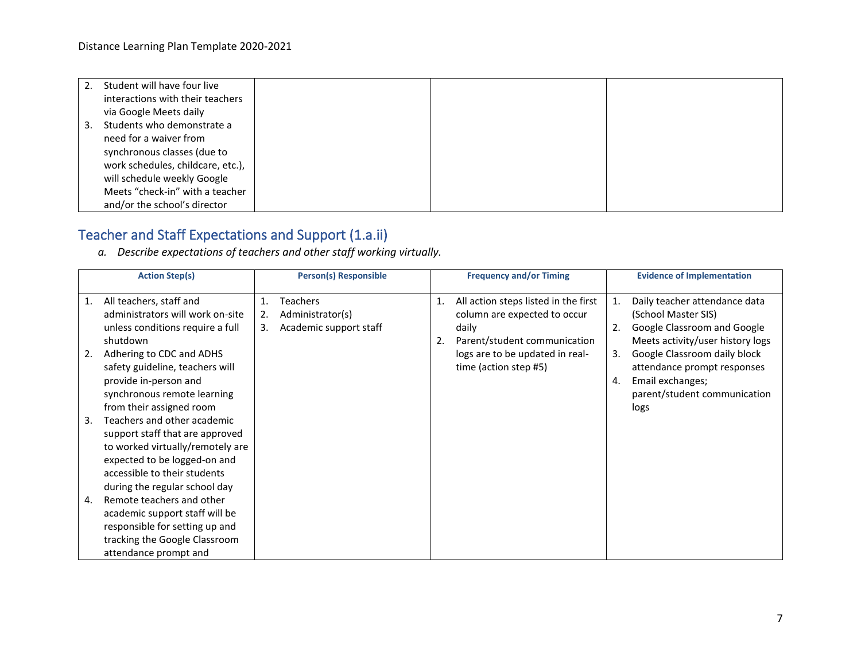|    | Student will have four live       |  |  |
|----|-----------------------------------|--|--|
|    | interactions with their teachers  |  |  |
|    | via Google Meets daily            |  |  |
| 3. | Students who demonstrate a        |  |  |
|    | need for a waiver from            |  |  |
|    | synchronous classes (due to       |  |  |
|    | work schedules, childcare, etc.), |  |  |
|    | will schedule weekly Google       |  |  |
|    | Meets "check-in" with a teacher   |  |  |
|    | and/or the school's director      |  |  |

# Teacher and Staff Expectations and Support (1.a.ii)

*a. Describe expectations of teachers and other staff working virtually.*

|                | <b>Action Step(s)</b>                                       |          | <b>Person(s) Responsible</b>        |    | <b>Frequency and/or Timing</b>                                       |    | <b>Evidence of Implementation</b>                    |  |
|----------------|-------------------------------------------------------------|----------|-------------------------------------|----|----------------------------------------------------------------------|----|------------------------------------------------------|--|
| $\mathbf{1}$ . | All teachers, staff and<br>administrators will work on-site | 1.<br>2. | <b>Teachers</b><br>Administrator(s) | 1. | All action steps listed in the first<br>column are expected to occur | 1. | Daily teacher attendance data<br>(School Master SIS) |  |
|                | unless conditions require a full                            | 3.       | Academic support staff              |    | daily                                                                | 2. | Google Classroom and Google                          |  |
|                | shutdown                                                    |          |                                     | 2. | Parent/student communication                                         |    | Meets activity/user history logs                     |  |
| 2.             | Adhering to CDC and ADHS                                    |          |                                     |    | logs are to be updated in real-                                      | 3. | Google Classroom daily block                         |  |
|                | safety guideline, teachers will                             |          |                                     |    | time (action step #5)                                                |    | attendance prompt responses                          |  |
|                | provide in-person and                                       |          |                                     |    |                                                                      | 4. | Email exchanges;                                     |  |
|                | synchronous remote learning                                 |          |                                     |    |                                                                      |    | parent/student communication                         |  |
|                | from their assigned room                                    |          |                                     |    |                                                                      |    | logs                                                 |  |
| 3.             | Teachers and other academic                                 |          |                                     |    |                                                                      |    |                                                      |  |
|                | support staff that are approved                             |          |                                     |    |                                                                      |    |                                                      |  |
|                | to worked virtually/remotely are                            |          |                                     |    |                                                                      |    |                                                      |  |
|                | expected to be logged-on and                                |          |                                     |    |                                                                      |    |                                                      |  |
|                | accessible to their students                                |          |                                     |    |                                                                      |    |                                                      |  |
|                | during the regular school day                               |          |                                     |    |                                                                      |    |                                                      |  |
| 4.             | Remote teachers and other                                   |          |                                     |    |                                                                      |    |                                                      |  |
|                | academic support staff will be                              |          |                                     |    |                                                                      |    |                                                      |  |
|                | responsible for setting up and                              |          |                                     |    |                                                                      |    |                                                      |  |
|                | tracking the Google Classroom                               |          |                                     |    |                                                                      |    |                                                      |  |
|                | attendance prompt and                                       |          |                                     |    |                                                                      |    |                                                      |  |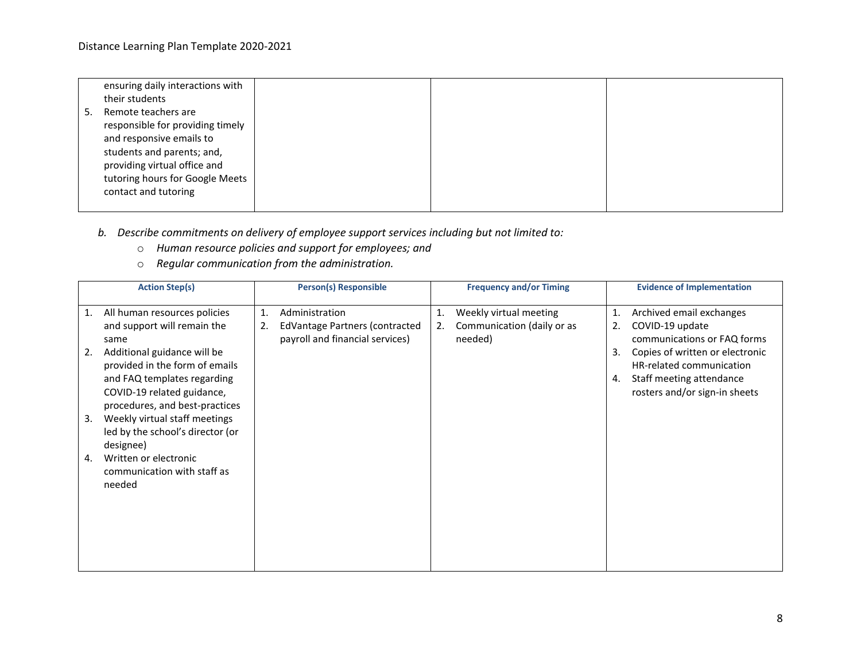|    | ensuring daily interactions with |  |  |
|----|----------------------------------|--|--|
|    | their students                   |  |  |
| 5. | Remote teachers are              |  |  |
|    | responsible for providing timely |  |  |
|    | and responsive emails to         |  |  |
|    | students and parents; and,       |  |  |
|    | providing virtual office and     |  |  |
|    | tutoring hours for Google Meets  |  |  |
|    | contact and tutoring             |  |  |
|    |                                  |  |  |

### *b. Describe commitments on delivery of employee support services including but not limited to:*

- o *Human resource policies and support for employees; and*
- o *Regular communication from the administration.*

| <b>Action Step(s)</b>                                                                                                                                                                                         | <b>Person(s) Responsible</b>                                                                    | <b>Frequency and/or Timing</b>                                              | <b>Evidence of Implementation</b>                                                                                                                                                                                              |
|---------------------------------------------------------------------------------------------------------------------------------------------------------------------------------------------------------------|-------------------------------------------------------------------------------------------------|-----------------------------------------------------------------------------|--------------------------------------------------------------------------------------------------------------------------------------------------------------------------------------------------------------------------------|
| All human resources policies<br>1.<br>and support will remain the<br>same<br>Additional guidance will be<br>2.<br>provided in the form of emails<br>and FAQ templates regarding<br>COVID-19 related guidance, | Administration<br>1.<br>EdVantage Partners (contracted<br>2.<br>payroll and financial services) | Weekly virtual meeting<br>1.<br>Communication (daily or as<br>2.<br>needed) | Archived email exchanges<br>1.<br>2.<br>COVID-19 update<br>communications or FAQ forms<br>Copies of written or electronic<br>3.<br>HR-related communication<br>Staff meeting attendance<br>4.<br>rosters and/or sign-in sheets |
| procedures, and best-practices<br>Weekly virtual staff meetings<br>3.<br>led by the school's director (or<br>designee)<br>Written or electronic<br>4.<br>communication with staff as<br>needed                |                                                                                                 |                                                                             |                                                                                                                                                                                                                                |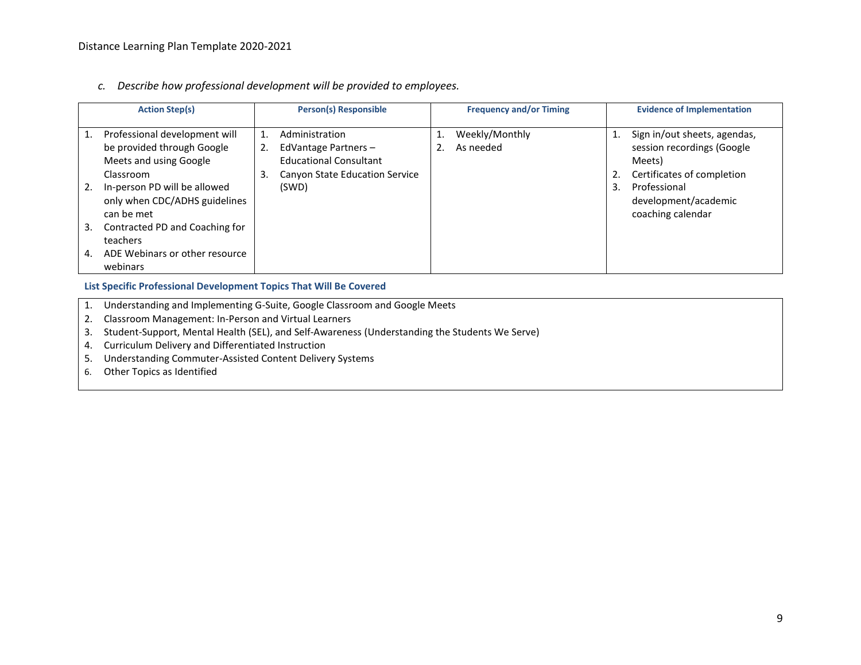*c. Describe how professional development will be provided to employees.*

| <b>Action Step(s)</b>                                                                                                                                                                                                                                                                     | <b>Person(s) Responsible</b>                                                                                                         | <b>Frequency and/or Timing</b>    | <b>Evidence of Implementation</b>                                                                                                                                                         |
|-------------------------------------------------------------------------------------------------------------------------------------------------------------------------------------------------------------------------------------------------------------------------------------------|--------------------------------------------------------------------------------------------------------------------------------------|-----------------------------------|-------------------------------------------------------------------------------------------------------------------------------------------------------------------------------------------|
| Professional development will<br>be provided through Google<br>Meets and using Google<br>Classroom<br>In-person PD will be allowed<br>only when CDC/ADHS guidelines<br>can be met<br>Contracted PD and Coaching for<br>3.<br>teachers<br>ADE Webinars or other resource<br>4.<br>webinars | Administration<br>1.<br>EdVantage Partners -<br>2.<br><b>Educational Consultant</b><br>3.<br>Canyon State Education Service<br>(SWD) | Weekly/Monthly<br>As needed<br>2. | Sign in/out sheets, agendas,<br>session recordings (Google<br>Meets)<br>Certificates of completion<br>2.<br>$\overline{3}$ .<br>Professional<br>development/academic<br>coaching calendar |

**List Specific Professional Development Topics That Will Be Covered**

- 1. Understanding and Implementing G-Suite, Google Classroom and Google Meets
- 2. Classroom Management: In-Person and Virtual Learners
- 3. Student-Support, Mental Health (SEL), and Self-Awareness (Understanding the Students We Serve)
- 4. Curriculum Delivery and Differentiated Instruction
- 5. Understanding Commuter-Assisted Content Delivery Systems
- 6. Other Topics as Identified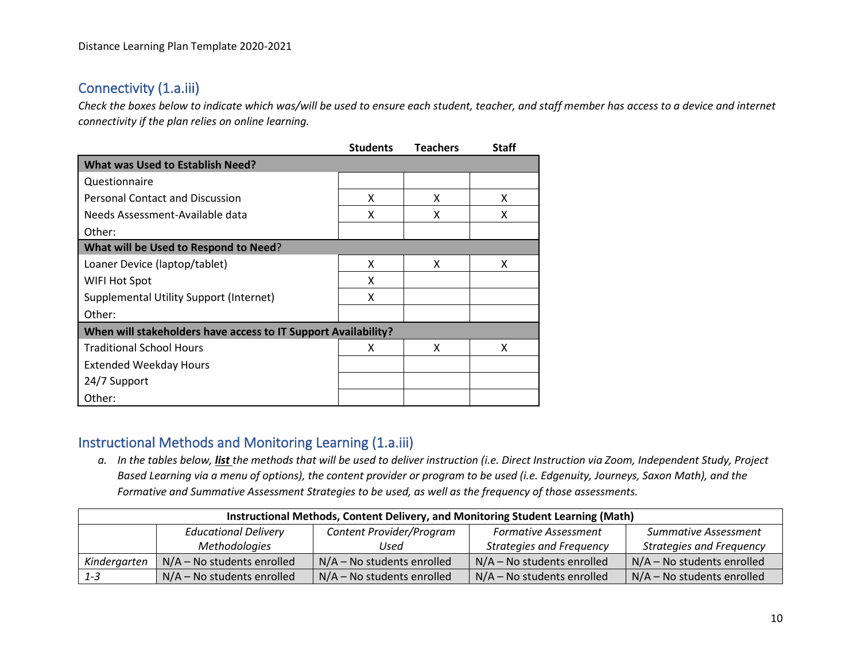# Connectivity (1.a.iii)

*Check the boxes below to indicate which was/will be used to ensure each student, teacher, and staff member has access to a device and internet connectivity if the plan relies on online learning.*

|                                                                | <b>Students</b> | <b>Teachers</b> | <b>Staff</b> |
|----------------------------------------------------------------|-----------------|-----------------|--------------|
| <b>What was Used to Establish Need?</b>                        |                 |                 |              |
| Questionnaire                                                  |                 |                 |              |
| <b>Personal Contact and Discussion</b>                         | x               | X               | x            |
| Needs Assessment-Available data                                | X               | X               | x            |
| Other:                                                         |                 |                 |              |
| What will be Used to Respond to Need?                          |                 |                 |              |
| Loaner Device (laptop/tablet)                                  | X               | X               | X            |
| WIFI Hot Spot                                                  | X               |                 |              |
| <b>Supplemental Utility Support (Internet)</b>                 | x               |                 |              |
| Other:                                                         |                 |                 |              |
| When will stakeholders have access to IT Support Availability? |                 |                 |              |
| <b>Traditional School Hours</b>                                | x               | X               | x            |
| <b>Extended Weekday Hours</b>                                  |                 |                 |              |
| 24/7 Support                                                   |                 |                 |              |
| Other:                                                         |                 |                 |              |

# Instructional Methods and Monitoring Learning (1.a.iii)

*a. In the tables below, list the methods that will be used to deliver instruction (i.e. Direct Instruction via Zoom, Independent Study, Project Based Learning via a menu of options), the content provider or program to be used (i.e. Edgenuity, Journeys, Saxon Math), and the Formative and Summative Assessment Strategies to be used, as well as the frequency of those assessments.*

| Instructional Methods, Content Delivery, and Monitoring Student Learning (Math)                                       |                              |                              |                                 |                                 |  |
|-----------------------------------------------------------------------------------------------------------------------|------------------------------|------------------------------|---------------------------------|---------------------------------|--|
| Content Provider/Program<br><b>Educational Delivery</b><br><b>Formative Assessment</b><br><b>Summative Assessment</b> |                              |                              |                                 |                                 |  |
|                                                                                                                       | Methodologies                | Used                         | <b>Strategies and Frequency</b> | <b>Strategies and Frequency</b> |  |
| Kindergarten                                                                                                          | $N/A$ – No students enrolled | $N/A - No$ students enrolled | $N/A - No$ students enrolled    | $N/A - No$ students enrolled    |  |
| $1 - 3$                                                                                                               | $N/A$ – No students enrolled | $N/A - No$ students enrolled | $N/A - No$ students enrolled    | $N/A$ – No students enrolled    |  |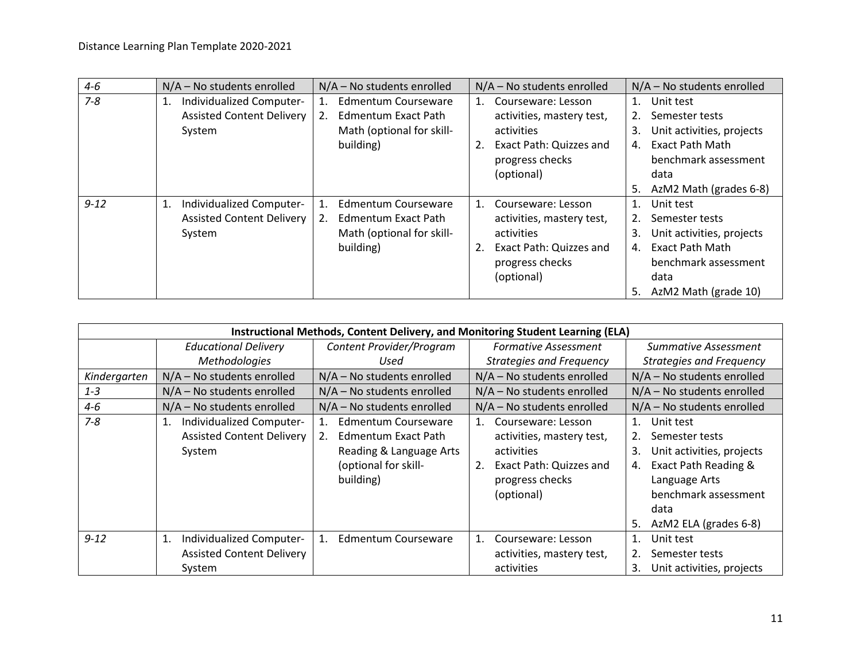| $4 - 6$  | $N/A$ – No students enrolled                                                 | $N/A$ – No students enrolled                                                                      | $N/A$ – No students enrolled                                                                                                             | $N/A$ – No students enrolled                                                                                                                                                          |
|----------|------------------------------------------------------------------------------|---------------------------------------------------------------------------------------------------|------------------------------------------------------------------------------------------------------------------------------------------|---------------------------------------------------------------------------------------------------------------------------------------------------------------------------------------|
| $7 - 8$  | Individualized Computer-<br>1.<br><b>Assisted Content Delivery</b><br>System | <b>Edmentum Courseware</b><br>2.<br>Edmentum Exact Path<br>Math (optional for skill-<br>building) | Courseware: Lesson<br>1.<br>activities, mastery test,<br>activities<br>Exact Path: Quizzes and<br>progress checks<br>(optional)          | Unit test<br>Semester tests<br>Unit activities, projects<br>3.<br><b>Exact Path Math</b><br>4.<br>benchmark assessment<br>data                                                        |
| $9 - 12$ | 1.<br>Individualized Computer-<br><b>Assisted Content Delivery</b><br>System | Edmentum Courseware<br>Edmentum Exact Path<br>2.<br>Math (optional for skill-<br>building)        | Courseware: Lesson<br>$1_{\cdot}$<br>activities, mastery test,<br>activities<br>Exact Path: Quizzes and<br>progress checks<br>(optional) | AzM2 Math (grades 6-8)<br>5.<br>Unit test<br>Semester tests<br>Unit activities, projects<br>3.<br>Exact Path Math<br>4.<br>benchmark assessment<br>data<br>AzM2 Math (grade 10)<br>5. |

|              | Instructional Methods, Content Delivery, and Monitoring Student Learning (ELA) |                                                                                                                                 |                                                                                                                                                |                                                                                                                                                                                                      |  |  |
|--------------|--------------------------------------------------------------------------------|---------------------------------------------------------------------------------------------------------------------------------|------------------------------------------------------------------------------------------------------------------------------------------------|------------------------------------------------------------------------------------------------------------------------------------------------------------------------------------------------------|--|--|
|              | <b>Educational Delivery</b>                                                    | Content Provider/Program                                                                                                        | <b>Formative Assessment</b>                                                                                                                    | Summative Assessment                                                                                                                                                                                 |  |  |
|              | <b>Methodologies</b>                                                           | Used                                                                                                                            | <b>Strategies and Frequency</b>                                                                                                                | <b>Strategies and Frequency</b>                                                                                                                                                                      |  |  |
| Kindergarten | $N/A$ – No students enrolled                                                   | N/A - No students enrolled                                                                                                      | N/A - No students enrolled                                                                                                                     | $N/A - No$ students enrolled                                                                                                                                                                         |  |  |
| $1 - 3$      | $N/A$ – No students enrolled                                                   | N/A - No students enrolled                                                                                                      | $N/A$ – No students enrolled                                                                                                                   | $N/A$ – No students enrolled                                                                                                                                                                         |  |  |
| $4 - 6$      | $N/A$ – No students enrolled                                                   | N/A - No students enrolled                                                                                                      | $N/A$ – No students enrolled                                                                                                                   | N/A - No students enrolled                                                                                                                                                                           |  |  |
| $7 - 8$      | Individualized Computer-<br>1.<br><b>Assisted Content Delivery</b><br>System   | Edmentum Courseware<br>$1_{\cdot}$<br>Edmentum Exact Path<br>2.<br>Reading & Language Arts<br>(optional for skill-<br>building) | Courseware: Lesson<br>$1_{\cdot}$<br>activities, mastery test,<br>activities<br>2.<br>Exact Path: Quizzes and<br>progress checks<br>(optional) | Unit test<br>$\mathbf{1}$ .<br>Semester tests<br>2.<br>Unit activities, projects<br>3.<br>Exact Path Reading &<br>4.<br>Language Arts<br>benchmark assessment<br>data<br>AzM2 ELA (grades 6-8)<br>5. |  |  |
| $9 - 12$     | Individualized Computer-<br>1.<br><b>Assisted Content Delivery</b><br>System   | Edmentum Courseware<br>1.                                                                                                       | 1.<br>Courseware: Lesson<br>activities, mastery test,<br>activities                                                                            | Unit test<br>1.<br>2.<br>Semester tests<br>Unit activities, projects<br>3.                                                                                                                           |  |  |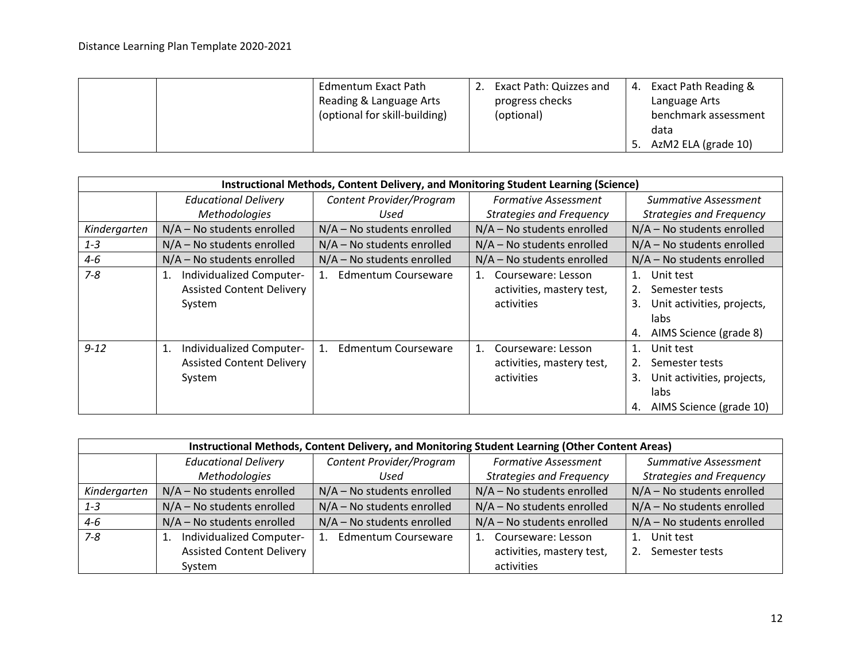|  | <b>Edmentum Exact Path</b>    | Exact Path: Quizzes and | 4. | <b>Exact Path Reading &amp;</b> |
|--|-------------------------------|-------------------------|----|---------------------------------|
|  | Reading & Language Arts       | progress checks         |    | Language Arts                   |
|  | (optional for skill-building) | (optional)              |    | benchmark assessment            |
|  |                               |                         |    | data                            |
|  |                               |                         |    | AzM2 ELA (grade 10)             |

|              | Instructional Methods, Content Delivery, and Monitoring Student Learning (Science) |                                           |                                                                     |                                                                                                                      |  |  |
|--------------|------------------------------------------------------------------------------------|-------------------------------------------|---------------------------------------------------------------------|----------------------------------------------------------------------------------------------------------------------|--|--|
|              | <b>Educational Delivery</b>                                                        | Content Provider/Program                  | <b>Formative Assessment</b>                                         | Summative Assessment                                                                                                 |  |  |
|              | <b>Methodologies</b>                                                               | Used                                      | <b>Strategies and Frequency</b>                                     | <b>Strategies and Frequency</b>                                                                                      |  |  |
| Kindergarten | $N/A$ – No students enrolled                                                       | $N/A$ – No students enrolled              | $N/A$ – No students enrolled                                        | $N/A$ – No students enrolled                                                                                         |  |  |
| $1 - 3$      | $N/A - No$ students enrolled                                                       | $N/A$ – No students enrolled              | $N/A$ – No students enrolled                                        | $N/A$ – No students enrolled                                                                                         |  |  |
| $4 - 6$      | $N/A - No$ students enrolled                                                       | $N/A$ – No students enrolled              | $N/A$ – No students enrolled                                        | $N/A$ – No students enrolled                                                                                         |  |  |
| $7 - 8$      | Individualized Computer-<br>1.<br><b>Assisted Content Delivery</b><br>System       | Edmentum Courseware<br>$1_{-}$            | Courseware: Lesson<br>1.<br>activities, mastery test,<br>activities | Unit test<br>1.<br>Semester tests<br>2.<br>3.<br>Unit activities, projects,<br>labs<br>AIMS Science (grade 8)<br>4.  |  |  |
| $9 - 12$     | Individualized Computer-<br>1.<br><b>Assisted Content Delivery</b><br>System       | <b>Edmentum Courseware</b><br>$1_{\cdot}$ | Courseware: Lesson<br>1.<br>activities, mastery test,<br>activities | Unit test<br>1.<br>2.<br>Semester tests<br>3.<br>Unit activities, projects,<br>labs<br>AIMS Science (grade 10)<br>4. |  |  |

|              | Instructional Methods, Content Delivery, and Monitoring Student Learning (Other Content Areas) |                              |                                 |                                 |  |  |
|--------------|------------------------------------------------------------------------------------------------|------------------------------|---------------------------------|---------------------------------|--|--|
|              | <b>Educational Delivery</b>                                                                    | Content Provider/Program     | <b>Formative Assessment</b>     | <b>Summative Assessment</b>     |  |  |
|              | Methodologies                                                                                  | Used                         | <b>Strategies and Frequency</b> | <b>Strategies and Frequency</b> |  |  |
| Kindergarten | $N/A - No$ students enrolled                                                                   | $N/A - No$ students enrolled | $N/A$ – No students enrolled    | N/A - No students enrolled      |  |  |
| $1 - 3$      | N/A - No students enrolled                                                                     | $N/A - No$ students enrolled | $N/A$ – No students enrolled    | $N/A$ – No students enrolled    |  |  |
| $4 - 6$      | N/A - No students enrolled                                                                     | $N/A$ – No students enrolled | $N/A$ – No students enrolled    | $N/A$ – No students enrolled    |  |  |
| $7 - 8$      | Individualized Computer-<br>1.                                                                 | <b>Edmentum Courseware</b>   | Courseware: Lesson              | Unit test                       |  |  |
|              | <b>Assisted Content Delivery</b>                                                               |                              | activities, mastery test,       | Semester tests                  |  |  |
|              | System                                                                                         |                              | activities                      |                                 |  |  |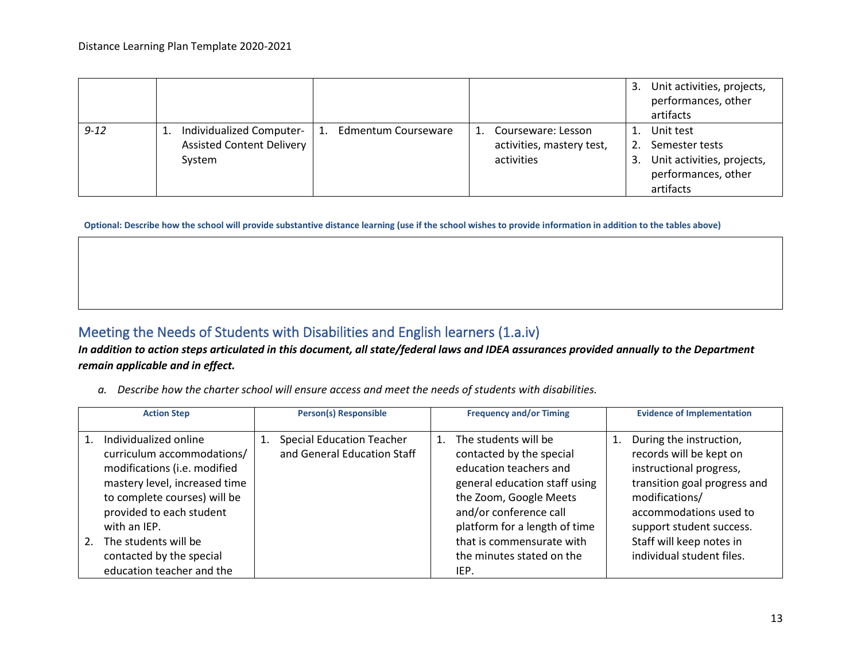|          |                                                                        |                                       |                                                               | Unit activities, projects,<br>3.<br>performances, other<br>artifacts                                |
|----------|------------------------------------------------------------------------|---------------------------------------|---------------------------------------------------------------|-----------------------------------------------------------------------------------------------------|
| $9 - 12$ | Individualized Computer-<br><b>Assisted Content Delivery</b><br>System | Edmentum Courseware<br>$\mathbf{1}$ . | Courseware: Lesson<br>activities, mastery test,<br>activities | Unit test<br>Semester tests<br>Unit activities, projects,<br>3.<br>performances, other<br>artifacts |

**Optional: Describe how the school will provide substantive distance learning (use if the school wishes to provide information in addition to the tables above)**

# Meeting the Needs of Students with Disabilities and English learners (1.a.iv)

*In addition to action steps articulated in this document, all state/federal laws and IDEA assurances provided annually to the Department remain applicable and in effect.*

*a. Describe how the charter school will ensure access and meet the needs of students with disabilities.*

| <b>Action Step</b>                                                                                                                                                                                                                                                                      | <b>Person(s) Responsible</b>                                          | <b>Frequency and/or Timing</b>                                                                                                                                                                                                                                        | <b>Evidence of Implementation</b>                                                                                                                                                                                                              |
|-----------------------------------------------------------------------------------------------------------------------------------------------------------------------------------------------------------------------------------------------------------------------------------------|-----------------------------------------------------------------------|-----------------------------------------------------------------------------------------------------------------------------------------------------------------------------------------------------------------------------------------------------------------------|------------------------------------------------------------------------------------------------------------------------------------------------------------------------------------------------------------------------------------------------|
| Individualized online<br>curriculum accommodations/<br>modifications (i.e. modified<br>mastery level, increased time<br>to complete courses) will be<br>provided to each student<br>with an IEP.<br>The students will be<br>2.<br>contacted by the special<br>education teacher and the | <b>Special Education Teacher</b><br>1.<br>and General Education Staff | 1. The students will be<br>contacted by the special<br>education teachers and<br>general education staff using<br>the Zoom, Google Meets<br>and/or conference call<br>platform for a length of time<br>that is commensurate with<br>the minutes stated on the<br>IEP. | During the instruction,<br>records will be kept on<br>instructional progress,<br>transition goal progress and<br>modifications/<br>accommodations used to<br>support student success.<br>Staff will keep notes in<br>individual student files. |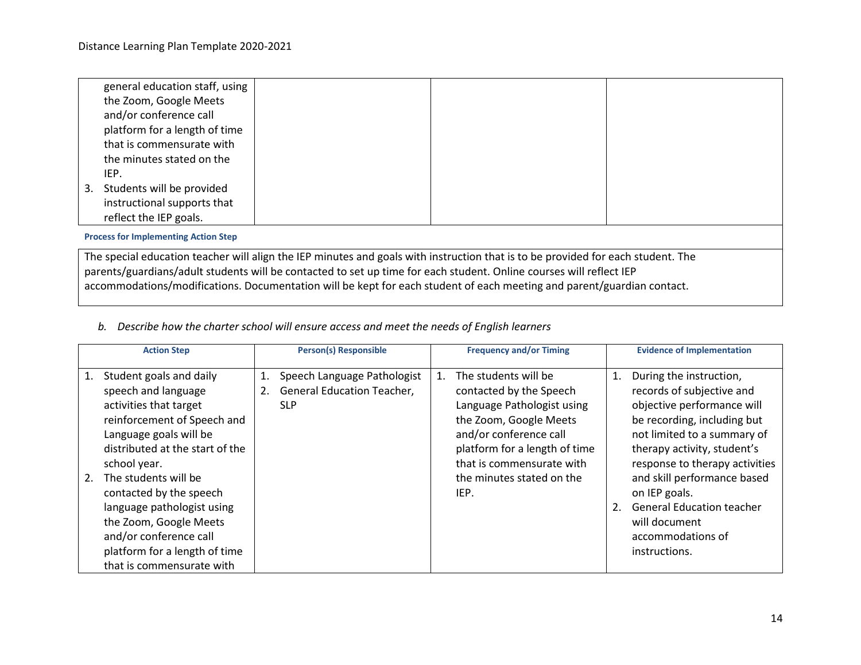| general education staff, using                                                                                                   |                                                                                                                        |  |  |  |  |
|----------------------------------------------------------------------------------------------------------------------------------|------------------------------------------------------------------------------------------------------------------------|--|--|--|--|
| the Zoom, Google Meets                                                                                                           |                                                                                                                        |  |  |  |  |
| and/or conference call                                                                                                           |                                                                                                                        |  |  |  |  |
| platform for a length of time                                                                                                    |                                                                                                                        |  |  |  |  |
| that is commensurate with                                                                                                        |                                                                                                                        |  |  |  |  |
| the minutes stated on the                                                                                                        |                                                                                                                        |  |  |  |  |
| IEP.                                                                                                                             |                                                                                                                        |  |  |  |  |
| 3. Students will be provided                                                                                                     |                                                                                                                        |  |  |  |  |
| instructional supports that                                                                                                      |                                                                                                                        |  |  |  |  |
| reflect the IEP goals.                                                                                                           |                                                                                                                        |  |  |  |  |
| <b>Process for Implementing Action Step</b>                                                                                      |                                                                                                                        |  |  |  |  |
| The special education teacher will align the IEP minutes and goals with instruction that is to be provided for each student. The |                                                                                                                        |  |  |  |  |
|                                                                                                                                  | parents/guardians/adult students will be contacted to set up time for each student. Online courses will reflect IEP    |  |  |  |  |
|                                                                                                                                  | accommodations/modifications. Documentation will be kept for each student of each meeting and parent/guardian contact. |  |  |  |  |

*b. Describe how the charter school will ensure access and meet the needs of English learners*

| <b>Action Step</b>                                                                                                                                                                                                                                                                                                                                                                            | <b>Person(s) Responsible</b>                                                               | <b>Frequency and/or Timing</b>                                                                                                                                                                                                       | <b>Evidence of Implementation</b>                                                                                                                                                                                                                                                                                                                                  |
|-----------------------------------------------------------------------------------------------------------------------------------------------------------------------------------------------------------------------------------------------------------------------------------------------------------------------------------------------------------------------------------------------|--------------------------------------------------------------------------------------------|--------------------------------------------------------------------------------------------------------------------------------------------------------------------------------------------------------------------------------------|--------------------------------------------------------------------------------------------------------------------------------------------------------------------------------------------------------------------------------------------------------------------------------------------------------------------------------------------------------------------|
| Student goals and daily<br>speech and language<br>activities that target<br>reinforcement of Speech and<br>Language goals will be<br>distributed at the start of the<br>school year.<br>The students will be<br>2.<br>contacted by the speech<br>language pathologist using<br>the Zoom, Google Meets<br>and/or conference call<br>platform for a length of time<br>that is commensurate with | Speech Language Pathologist<br>1.<br><b>General Education Teacher,</b><br>2.<br><b>SLP</b> | The students will be<br>contacted by the Speech<br>Language Pathologist using<br>the Zoom, Google Meets<br>and/or conference call<br>platform for a length of time<br>that is commensurate with<br>the minutes stated on the<br>IEP. | During the instruction,<br>1.<br>records of subjective and<br>objective performance will<br>be recording, including but<br>not limited to a summary of<br>therapy activity, student's<br>response to therapy activities<br>and skill performance based<br>on IEP goals.<br><b>General Education teacher</b><br>will document<br>accommodations of<br>instructions. |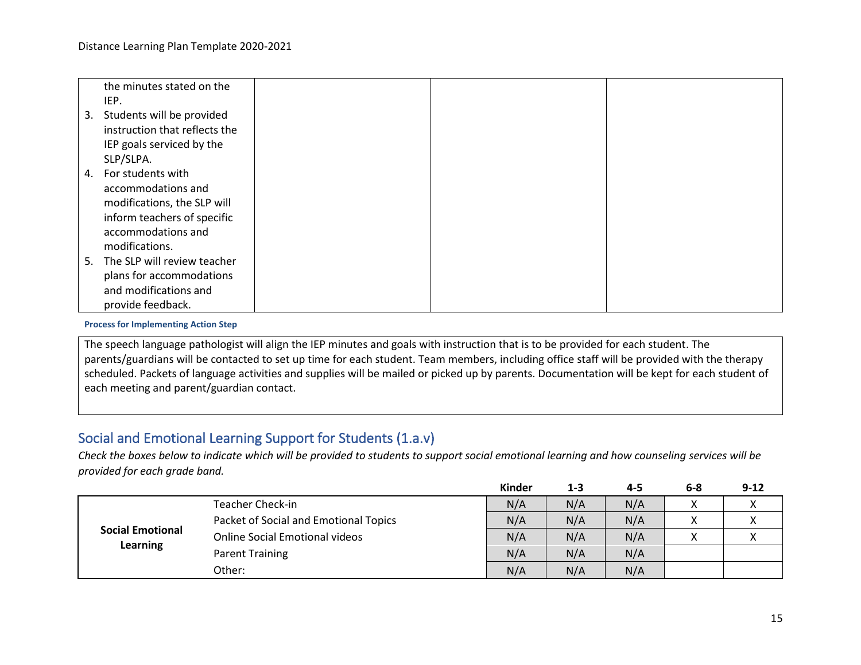|    | the minutes stated on the      |  |  |
|----|--------------------------------|--|--|
|    | IEP.                           |  |  |
| 3. | Students will be provided      |  |  |
|    | instruction that reflects the  |  |  |
|    | IEP goals serviced by the      |  |  |
|    | SLP/SLPA.                      |  |  |
| 4. | For students with              |  |  |
|    | accommodations and             |  |  |
|    | modifications, the SLP will    |  |  |
|    | inform teachers of specific    |  |  |
|    | accommodations and             |  |  |
|    | modifications.                 |  |  |
|    | 5. The SLP will review teacher |  |  |
|    | plans for accommodations       |  |  |
|    | and modifications and          |  |  |
|    | provide feedback.              |  |  |

**Process for Implementing Action Step**

The speech language pathologist will align the IEP minutes and goals with instruction that is to be provided for each student. The parents/guardians will be contacted to set up time for each student. Team members, including office staff will be provided with the therapy scheduled. Packets of language activities and supplies will be mailed or picked up by parents. Documentation will be kept for each student of each meeting and parent/guardian contact.

# Social and Emotional Learning Support for Students (1.a.v)

*Check the boxes below to indicate which will be provided to students to support social emotional learning and how counseling services will be provided for each grade band.*

|                                            |                                       | Kinder | $1 - 3$ | 4-5 | $6 - 8$ | $9 - 12$ |
|--------------------------------------------|---------------------------------------|--------|---------|-----|---------|----------|
|                                            | <b>Teacher Check-in</b>               | N/A    | N/A     | N/A | Λ       |          |
|                                            | Packet of Social and Emotional Topics | N/A    | N/A     | N/A | ∧       | $\sim$   |
| <b>Social Emotional</b><br><b>Learning</b> | <b>Online Social Emotional videos</b> | N/A    | N/A     | N/A | v       |          |
|                                            | Parent Training                       | N/A    | N/A     | N/A |         |          |
|                                            | Other:                                | N/A    | N/A     | N/A |         |          |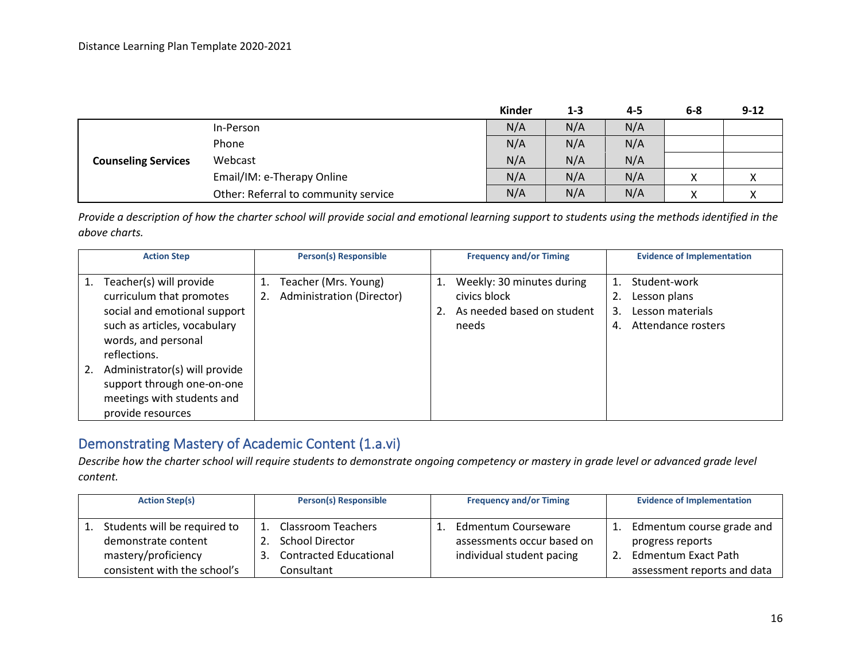|                            |                                      | Kinder | $1 - 3$ | 4-5 | 6-8         | $9 - 12$ |
|----------------------------|--------------------------------------|--------|---------|-----|-------------|----------|
|                            | In-Person                            | N/A    | N/A     | N/A |             |          |
|                            | Phone                                | N/A    | N/A     | N/A |             |          |
| <b>Counseling Services</b> | Webcast                              | N/A    | N/A     | N/A |             |          |
|                            | Email/IM: e-Therapy Online           | N/A    | N/A     | N/A | Y<br>$\sim$ | Λ        |
|                            | Other: Referral to community service | N/A    | N/A     | N/A | Y<br>∧      | ⋀        |

*Provide a description of how the charter school will provide social and emotional learning support to students using the methods identified in the above charts.*

| <b>Action Step</b>                                                                                                                                                                                                                                                           | <b>Person(s) Responsible</b>                      | <b>Frequency and/or Timing</b>                                                               | <b>Evidence of Implementation</b>                                                  |
|------------------------------------------------------------------------------------------------------------------------------------------------------------------------------------------------------------------------------------------------------------------------------|---------------------------------------------------|----------------------------------------------------------------------------------------------|------------------------------------------------------------------------------------|
| Teacher(s) will provide<br>curriculum that promotes<br>social and emotional support<br>such as articles, vocabulary<br>words, and personal<br>reflections.<br>Administrator(s) will provide<br>support through one-on-one<br>meetings with students and<br>provide resources | Teacher (Mrs. Young)<br>Administration (Director) | Weekly: 30 minutes during<br>1.<br>civics block<br>As needed based on student<br>2.<br>needs | Student-work<br>Lesson plans<br>Lesson materials<br>3.<br>Attendance rosters<br>4. |

# Demonstrating Mastery of Academic Content (1.a.vi)

*Describe how the charter school will require students to demonstrate ongoing competency or mastery in grade level or advanced grade level content.*

| <b>Action Step(s)</b>                                                                                      | <b>Person(s) Responsible</b>                                                                         | <b>Frequency and/or Timing</b>                                                 | <b>Evidence of Implementation</b>                                                                                |
|------------------------------------------------------------------------------------------------------------|------------------------------------------------------------------------------------------------------|--------------------------------------------------------------------------------|------------------------------------------------------------------------------------------------------------------|
| Students will be required to<br>demonstrate content<br>mastery/proficiency<br>consistent with the school's | 1. Classroom Teachers<br><b>School Director</b><br><b>Contracted Educational</b><br>3.<br>Consultant | Edmentum Courseware<br>assessments occur based on<br>individual student pacing | Edmentum course grade and<br>progress reports<br><b>Edmentum Exact Path</b><br>2.<br>assessment reports and data |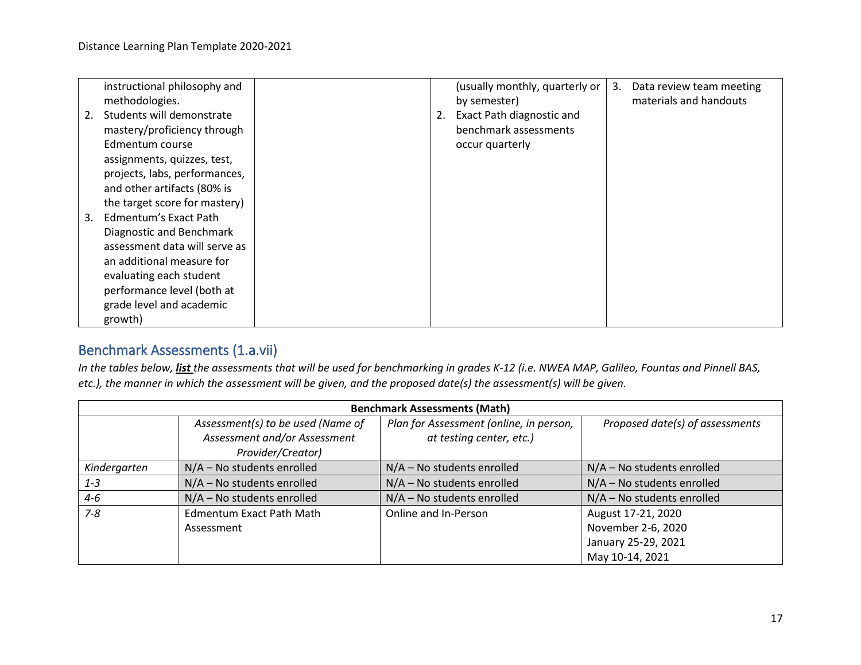|    | instructional philosophy and  |    | (usually monthly, quarterly or | 3. | Data review team meeting |
|----|-------------------------------|----|--------------------------------|----|--------------------------|
|    | methodologies.                |    | by semester)                   |    | materials and handouts   |
| 2. | Students will demonstrate     | 2. | Exact Path diagnostic and      |    |                          |
|    | mastery/proficiency through   |    | benchmark assessments          |    |                          |
|    | Edmentum course               |    | occur quarterly                |    |                          |
|    | assignments, quizzes, test,   |    |                                |    |                          |
|    | projects, labs, performances, |    |                                |    |                          |
|    | and other artifacts (80% is   |    |                                |    |                          |
|    | the target score for mastery) |    |                                |    |                          |
| 3. | Edmentum's Exact Path         |    |                                |    |                          |
|    | Diagnostic and Benchmark      |    |                                |    |                          |
|    | assessment data will serve as |    |                                |    |                          |
|    | an additional measure for     |    |                                |    |                          |
|    | evaluating each student       |    |                                |    |                          |
|    | performance level (both at    |    |                                |    |                          |
|    | grade level and academic      |    |                                |    |                          |
|    | growth)                       |    |                                |    |                          |

# Benchmark Assessments (1.a.vii)

*In the tables below, list the assessments that will be used for benchmarking in grades K-12 (i.e. NWEA MAP, Galileo, Fountas and Pinnell BAS, etc.), the manner in which the assessment will be given, and the proposed date(s) the assessment(s) will be given.*

| <b>Benchmark Assessments (Math)</b> |                                   |                                         |                                 |  |  |  |  |
|-------------------------------------|-----------------------------------|-----------------------------------------|---------------------------------|--|--|--|--|
|                                     | Assessment(s) to be used (Name of | Plan for Assessment (online, in person, | Proposed date(s) of assessments |  |  |  |  |
|                                     | Assessment and/or Assessment      | at testing center, etc.)                |                                 |  |  |  |  |
|                                     | Provider/Creator)                 |                                         |                                 |  |  |  |  |
| Kindergarten                        | N/A - No students enrolled        | $N/A$ – No students enrolled            | $N/A$ – No students enrolled    |  |  |  |  |
| $1 - 3$                             | N/A - No students enrolled        | N/A - No students enrolled              | N/A - No students enrolled      |  |  |  |  |
| $4 - 6$                             | N/A - No students enrolled        | N/A - No students enrolled              | N/A - No students enrolled      |  |  |  |  |
| $7 - 8$                             | <b>Edmentum Exact Path Math</b>   | Online and In-Person                    | August 17-21, 2020              |  |  |  |  |
|                                     | Assessment                        |                                         | November 2-6, 2020              |  |  |  |  |
|                                     |                                   |                                         | January 25-29, 2021             |  |  |  |  |
|                                     |                                   |                                         | May 10-14, 2021                 |  |  |  |  |